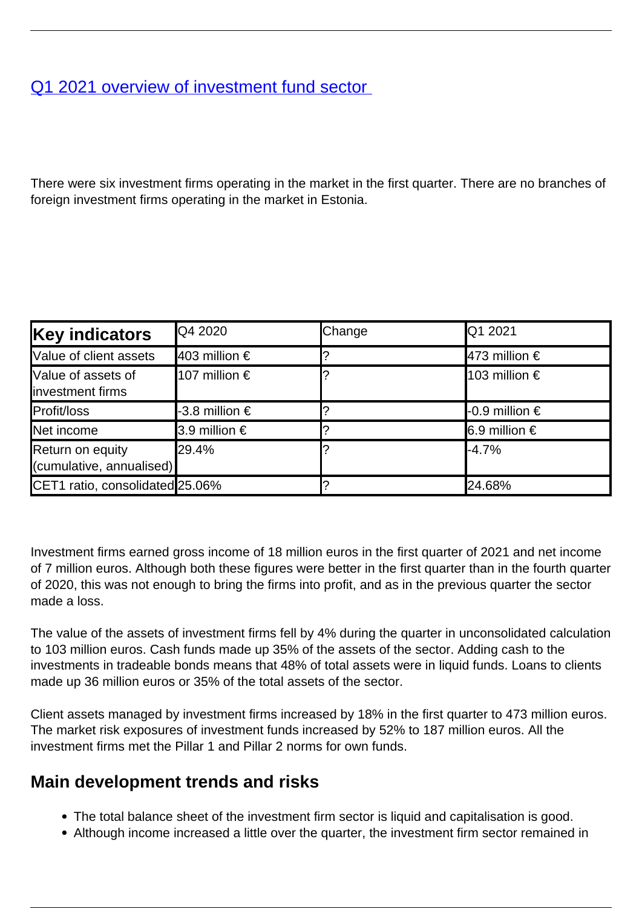## [Q1 2021 overview of investment fund sector](/en/publications/q1-2021-overview-investment-fund-sector)

There were six investment firms operating in the market in the first quarter. There are no branches of foreign investment firms operating in the market in Estonia.

| <b>Key indicators</b>                         | <b>Q4 2020</b>         | Change | Q1 2021                         |
|-----------------------------------------------|------------------------|--------|---------------------------------|
| Value of client assets                        | $ 403$ million €       |        | $ 473$ million €                |
| Value of assets of<br><b>Investment firms</b> | 107 million $\epsilon$ |        | 103 million €                   |
| Profit/loss                                   | -3.8 million €         |        | <b>⊩</b> 0.9 million $\epsilon$ |
| Net income                                    | 3.9 million €          |        | $\vert$ 6.9 million €           |
| Return on equity<br>(cumulative, annualised)  | l29.4%                 |        | -4.7%                           |
| CET1 ratio, consolidated 25.06%               |                        |        | 24.68%                          |

Investment firms earned gross income of 18 million euros in the first quarter of 2021 and net income of 7 million euros. Although both these figures were better in the first quarter than in the fourth quarter of 2020, this was not enough to bring the firms into profit, and as in the previous quarter the sector made a loss.

The value of the assets of investment firms fell by 4% during the quarter in unconsolidated calculation to 103 million euros. Cash funds made up 35% of the assets of the sector. Adding cash to the investments in tradeable bonds means that 48% of total assets were in liquid funds. Loans to clients made up 36 million euros or 35% of the total assets of the sector.

Client assets managed by investment firms increased by 18% in the first quarter to 473 million euros. The market risk exposures of investment funds increased by 52% to 187 million euros. All the investment firms met the Pillar 1 and Pillar 2 norms for own funds.

## **Main development trends and risks**

- The total balance sheet of the investment firm sector is liquid and capitalisation is good.
- Although income increased a little over the quarter, the investment firm sector remained in